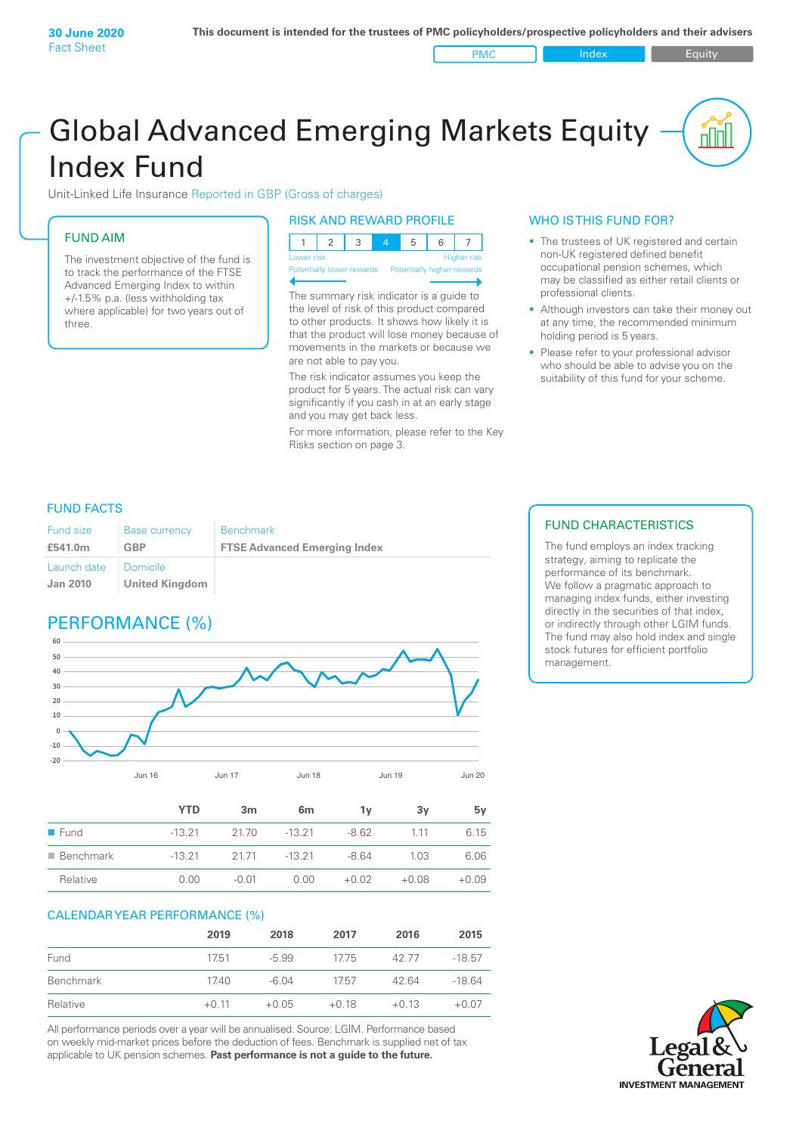PMC Index PMC Equity

# Global Advanced Emerging Markets Equity Index Fund

Unit-Linked Life Insurance Reported in GBP (Gross of charges)

## FUND AIM

The investment objective of the fund is to track the performance of the FTSE Advanced Emerging Index to within +/‑1.5% p.a. (less withholding tax where applicable) for two years out of three.

#### RISK AND REWARD PROFILE

| Lower risk |  |  | <b>Higher risk</b> |
|------------|--|--|--------------------|

**Prially lower rewards** 

The summary risk indicator is a guide to the level of risk of this product compared to other products. It shows how likely it is that the product will lose money because of movements in the markets or because we are not able to pay you.

The risk indicator assumes you keep the product for 5 years. The actual risk can vary significantly if you cash in at an early stage and you may get back less.

For more information, please refer to the Key Risks section on page 3.

## WHO IS THIS FUND FOR?

- The trustees of UK registered and certain non-UK registered defined benefit occupational pension schemes, which may be classified as either retail clients or professional clients.
- Although investors can take their money out at any time, the recommended minimum holding period is 5 years.
- Please refer to your professional advisor who should be able to advise you on the suitability of this fund for your scheme.

### FUND FACTS

| <b>Fund size</b>               | <b>Base currency</b>              | <b>Benchmark</b>                    |
|--------------------------------|-----------------------------------|-------------------------------------|
| £541.0m                        | GBP                               | <b>FTSE Advanced Emerging Index</b> |
| Launch date<br><b>Jan 2010</b> | Domicile<br><b>United Kingdom</b> |                                     |

# PERFORMANCE (%)



|                          | <b>YTD</b> | 3m      | 6 <sub>m</sub> | 1v      | 3v      | 5v      |
|--------------------------|------------|---------|----------------|---------|---------|---------|
| $\blacksquare$ Fund      | $-13.21$   | 21.70   | $-13.21$       | $-8.62$ | 1 1 1   | 6.15    |
| $\blacksquare$ Benchmark | $-13.21$   | 2171    | $-13.21$       | $-8.64$ | 1.03    | 6.06    |
| Relative                 | 0.00       | $-0.01$ | 0.00           | $+0.02$ | $+0.08$ | $+0.09$ |

#### CALENDAR YEAR PERFORMANCE (%)

|           | 2019    | 2018    | 2017    | 2016    | 2015     |
|-----------|---------|---------|---------|---------|----------|
| Fund      | 17.51   | $-5.99$ | 1775    | 42.77   | $-18.57$ |
| Benchmark | 17.40   | $-6.04$ | 1757    | 42.64   | $-18.64$ |
| Relative  | $+0.11$ | $+0.05$ | $+0.18$ | $+0.13$ | $+0.07$  |

All performance periods over a year will be annualised. Source: LGIM. Performance based on weekly mid-market prices before the deduction of fees. Benchmark is supplied net of tax applicable to UK pension schemes. **Past performance is not a guide to the future.**

## FUND CHARACTERISTICS

The fund employs an index tracking strategy, aiming to replicate the performance of its benchmark. We follow a pragmatic approach to managing index funds, either investing directly in the securities of that index, or indirectly through other LGIM funds. The fund may also hold index and single stock futures for efficient portfolio management.

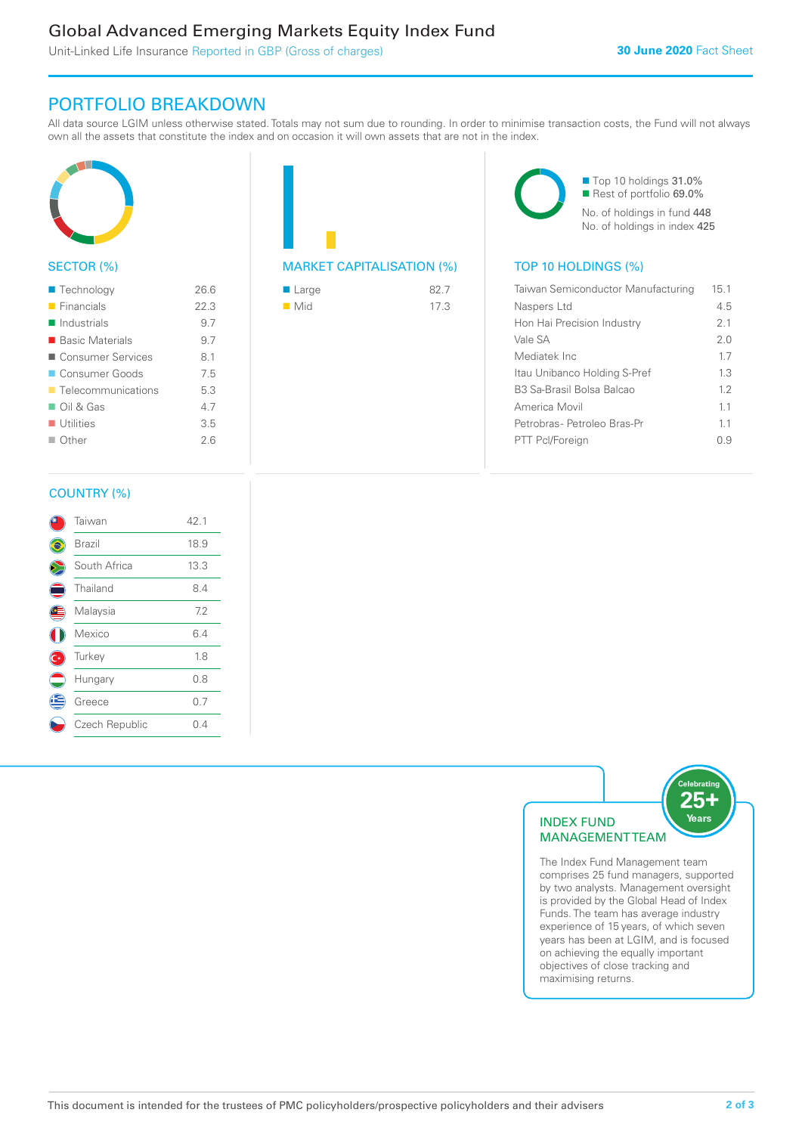# Global Advanced Emerging Markets Equity Index Fund

Unit-Linked Life Insurance Reported in GBP (Gross of charges)

# PORTFOLIO BREAKDOWN

All data source LGIM unless otherwise stated. Totals may not sum due to rounding. In order to minimise transaction costs, the Fund will not always own all the assets that constitute the index and on occasion it will own assets that are not in the index.



### SECTOR (%)

| $\blacksquare$ Technology         | 26.6 |
|-----------------------------------|------|
| $\blacksquare$ Financials         | 22.3 |
| $\blacksquare$ Industrials        | 9.7  |
| ■ Basic Materials                 | 9.7  |
| ■ Consumer Services               | 8.1  |
| Consumer Goods                    | 7.5  |
| $\blacksquare$ Telecommunications | 5.3  |
| $\Box$ Oil & Gas                  | 4.7  |
| $\blacksquare$ Utilities          | 3.5  |
| $\Box$ Other                      | 26   |
|                                   |      |

| <b>MARKET CAPITALISATION (%</b> |  |
|---------------------------------|--|

| $\blacksquare$ Large | 82.7 |
|----------------------|------|
| $\blacksquare$ Mid   | 17.3 |

■ Top 10 holdings 31.0% Rest of portfolio 69.0% No. of holdings in fund 448 No. of holdings in index 425

# $\overline{P}$  TOP 10 HOLDINGS (%)

| Taiwan Semiconductor Manufacturing | 15.1 |
|------------------------------------|------|
| Naspers Ltd                        | 4.5  |
| Hon Hai Precision Industry         | 21   |
| Vale SA                            | 2.0  |
| Mediatek Inc                       | 17   |
| Itau Unibanco Holding S-Pref       | 13   |
| B3 Sa-Brasil Bolsa Balcao          | 12   |
| America Movil                      | 11   |
| Petrobras- Petroleo Bras-Pr        | 11   |
| PTT Pcl/Foreign                    | (၂၂) |
|                                    |      |

#### COUNTRY (%)

|   | Taiwan         | 42.1 |  |
|---|----------------|------|--|
|   | Brazil         | 18.9 |  |
|   | South Africa   | 13.3 |  |
| Ξ | Thailand       | 8.4  |  |
| Œ | Malaysia       | 7.2  |  |
|   | Mexico         | 6.4  |  |
|   | Turkey         | 1.8  |  |
|   | Hungary        | 0.8  |  |
| ê | Greece         | 0.7  |  |
|   | Czech Republic | 0.4  |  |
|   |                |      |  |



comprises 25 fund managers, supported by two analysts. Management oversight is provided by the Global Head of Index Funds. The team has average industry experience of 15 years, of which seven years has been at LGIM, and is focused on achieving the equally important objectives of close tracking and maximising returns.